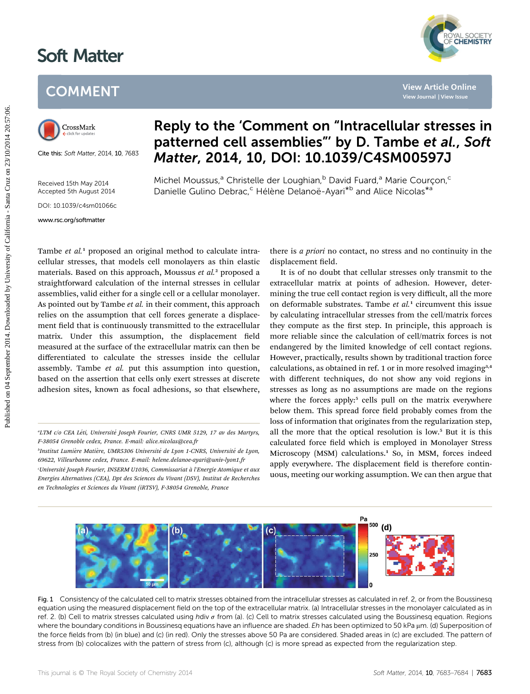## Soft Matter

## **COMMENT**



Cite this: Soft Matter, 2014, 10, 7683

Received 15th May 2014 Accepted 5th August 2014

DOI: 10.1039/c4sm01066c

w.rsc.org/softmatter.com

## Reply to the 'Comment on "Intracellular stresses in patterned cell assemblies"' by D. Tambe et al., Soft Matter, 2014, 10, DOI: 10.1039/C4SM00597J

Michel Moussus,<sup>a</sup> Christelle der Loughian,<sup>b</sup> David Fuard,<sup>a</sup> Marie Courçon,<sup>c</sup> Danielle Gulino Debrac,<sup>c</sup> Hélène Delanoë-Ayari<sup>\*b</sup> and Alice Nicolas<sup>\*a</sup>

Tambe et al.<sup>1</sup> proposed an original method to calculate intracellular stresses, that models cell monolayers as thin elastic materials. Based on this approach, Moussus et al.<sup>2</sup> proposed a straightforward calculation of the internal stresses in cellular assemblies, valid either for a single cell or a cellular monolayer. As pointed out by Tambe *et al.* in their comment, this approach relies on the assumption that cell forces generate a displacement field that is continuously transmitted to the extracellular matrix. Under this assumption, the displacement field measured at the surface of the extracellular matrix can then be differentiated to calculate the stresses inside the cellular assembly. Tambe et al. put this assumption into question, based on the assertion that cells only exert stresses at discrete adhesion sites, known as focal adhesions, so that elsewhere, there is a priori no contact, no stress and no continuity in the displacement field.

YAL SOCIETY<br>**CHEMISTRY** 

It is of no doubt that cellular stresses only transmit to the extracellular matrix at points of adhesion. However, determining the true cell contact region is very difficult, all the more on deformable substrates. Tambe  $et$   $al$ <sup>1</sup> circumvent this issue by calculating intracellular stresses from the cell/matrix forces they compute as the first step. In principle, this approach is more reliable since the calculation of cell/matrix forces is not endangered by the limited knowledge of cell contact regions. However, practically, results shown by traditional traction force calculations, as obtained in ref. 1 or in more resolved imaging<sup>3,4</sup> with different techniques, do not show any void regions in stresses as long as no assumptions are made on the regions where the forces apply:<sup>5</sup> cells pull on the matrix everywhere below them. This spread force field probably comes from the loss of information that originates from the regularization step, all the more that the optical resolution is low.<sup>5</sup> But it is this calculated force field which is employed in Monolayer Stress Microscopy (MSM) calculations.<sup>1</sup> So, in MSM, forces indeed apply everywhere. The displacement field is therefore continuous, meeting our working assumption. We can then argue that **Published on 14 September 2014. Published on 14 September 2014. This point of Comment on "Intracellular stresses and the distribution of California - Michel Moussus, Christelle det Loughian," David Fuard,<sup>8</sup> Marie Courg** 



Fig. 1 Consistency of the calculated cell to matrix stresses obtained from the intracellular stresses as calculated in ref. 2, or from the Boussinesq equation using the measured displacement field on the top of the extracellular matrix. (a) Intracellular stresses in the monolayer calculated as in ref. 2. (b) Cell to matrix stresses calculated using hdiv  $\sigma$  from (a). (c) Cell to matrix stresses calculated using the Boussinesg equation. Regions where the boundary conditions in Boussinesq equations have an influence are shaded. Eh has been optimized to 50 kPa µm. (d) Superposition of the force fields from (b) (in blue) and (c) (in red). Only the stresses above 50 Pa are considered. Shaded areas in (c) are excluded. The pattern of stress from (b) colocalizes with the pattern of stress from (c), although (c) is more spread as expected from the regularization step.

<sup>&</sup>quot;LTM c/o CEA Léti, Université Joseph Fourier, CNRS UMR 5129, 17 av des Martyrs, F-38054 Grenoble cedex, France. E-mail: alice.nicolas@cea.fr

<sup>&</sup>quot;Institut Lumière Matière, UMR5306 Université de Lyon 1-CNRS, Université de Lyon, 69622, Villeurbanne cedex, France. E-mail: helene.delanoe-ayari@univ-lyon1.fr

Université Joseph Fourier, INSERM U1036, Commissariat à l'Energie Atomique et aux ' Energies Alternatives (CEA), Dpt des Sciences du Vivant (DSV), Institut de Recherches en Technologies et Sciences du Vivant (iRTSV), F-38054 Grenoble, France